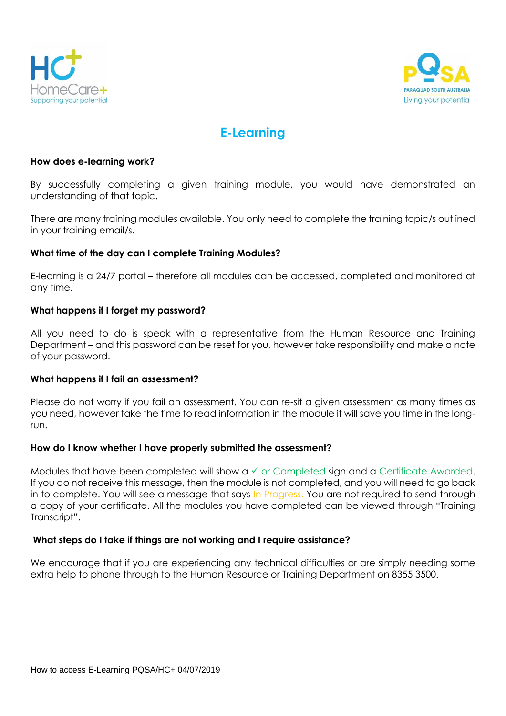



# **E-Learning**

#### **How does e-learning work?**

By successfully completing a given training module, you would have demonstrated an understanding of that topic.

There are many training modules available. You only need to complete the training topic/s outlined in your training email/s.

## **What time of the day can I complete Training Modules?**

E-learning is a 24/7 portal – therefore all modules can be accessed, completed and monitored at any time.

## **What happens if I forget my password?**

All you need to do is speak with a representative from the Human Resource and Training Department – and this password can be reset for you, however take responsibility and make a note of your password.

### **What happens if I fail an assessment?**

Please do not worry if you fail an assessment. You can re-sit a given assessment as many times as you need, however take the time to read information in the module it will save you time in the longrun.

### **How do I know whether I have properly submitted the assessment?**

Modules that have been completed will show  $a \checkmark$  or Completed sign and a Certificate Awarded. If you do not receive this message, then the module is not completed, and you will need to go back in to complete. You will see a message that says In Progress. You are not required to send through a copy of your certificate. All the modules you have completed can be viewed through "Training Transcript".

### **What steps do I take if things are not working and I require assistance?**

We encourage that if you are experiencing any technical difficulties or are simply needing some extra help to phone through to the Human Resource or Training Department on 8355 3500.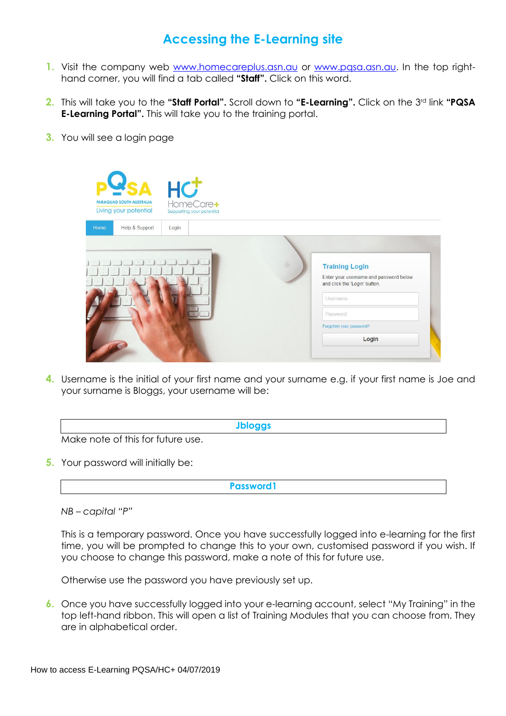# **Accessing the E-Learning site**

- **1.** Visit the company web [www.homecareplus.asn.au](http://www.homecareplus.asn.au/) or [www.pqsa.asn.au.](http://www.pqsa.asn.au/) In the top righthand corner, you will find a tab called **"Staff".** Click on this word.
- **2.** This will take you to the **"Staff Portal".** Scroll down to **"E-Learning".** Click on the 3rd link **"PQSA E-Learning Portal".** This will take you to the training portal.
- **3.** You will see a login page

| HC<br><b>PARAQUAD SOUTH AUSTRALIA</b>                                                 |                                                                                                  |
|---------------------------------------------------------------------------------------|--------------------------------------------------------------------------------------------------|
| Living your potential<br>Supporting your potential<br>Home<br>Help & Support<br>Login |                                                                                                  |
|                                                                                       | <b>Training Login</b><br>Enter your username and password below<br>and click the 'Login' button. |
|                                                                                       | Usemame<br>Password                                                                              |
|                                                                                       | Forgotten your password?                                                                         |
|                                                                                       | Login                                                                                            |

**4.** Username is the initial of your first name and your surname e.g. if your first name is Joe and your surname is Bloggs, your username will be:

#### **Jbloggs**

Make note of this for future use.

**5.** Your password will initially be:

**Password1**

*NB – capital "P"*

This is a temporary password. Once you have successfully logged into e-learning for the first time, you will be prompted to change this to your own, customised password if you wish. If you choose to change this password, make a note of this for future use.

Otherwise use the password you have previously set up.

**6.** Once you have successfully logged into your e-learning account, select "My Training" in the top left-hand ribbon. This will open a list of Training Modules that you can choose from. They are in alphabetical order.